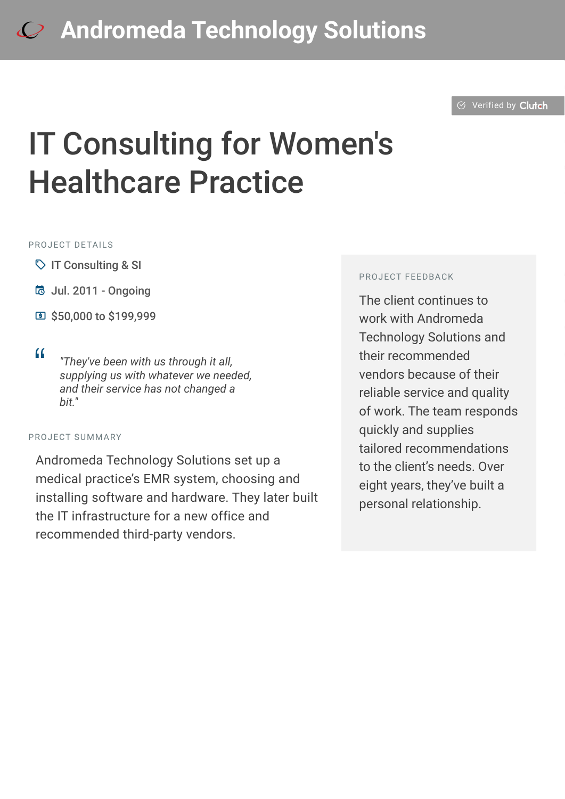## **[A](https://clutch.co/profile/andromeda-technology-solutions?utm_source=case_studies&utm_medium=logo)ndromeda Technology Solutions**

 $\oslash$  [Verified by](https://clutch.co?utm_source=case_studies&utm_medium=verified_by_clutch) Clutch

# IT Consulting for Women's Healthcare Practice

#### PROJECT DETAILS

- $\heartsuit$  IT Consulting & SI
- B Jul. 2011 Ongoing
- C \$50,000 to \$199,999
- 

<sup>D</sup> *"They've been with us through it all, supplying us with whatever we needed, and their service has not changed a bit."*

#### PROJECT SUMMARY

Andromeda Technology Solutions set up a medical practice's EMR system, choosing and installing software and hardware. They later built the IT infrastructure for a new office and recommended third-party vendors.

#### PROJECT FEEDBACK

The client continues to work with Andromeda Technology Solutions and their recommended vendors because of their reliable service and quality of work. The team responds quickly and supplies tailored recommendations to the client's needs. Over eight years, they've built a personal relationship.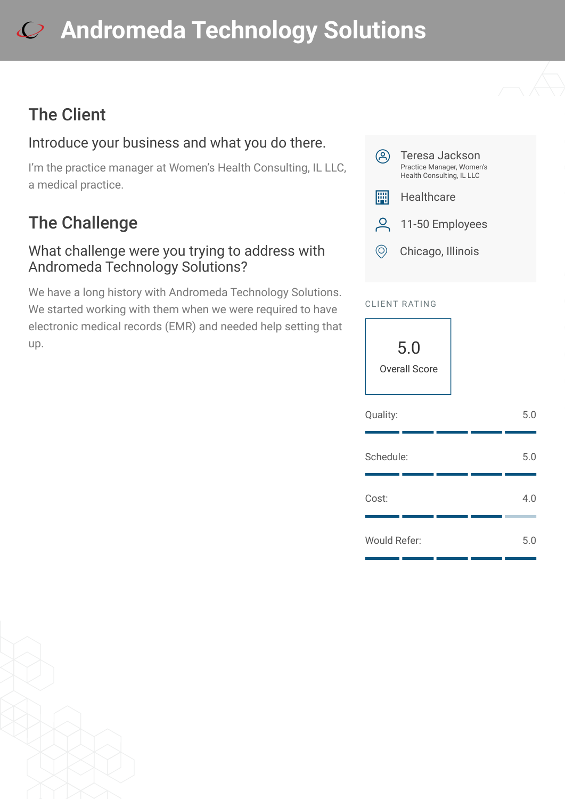# **[A](https://clutch.co/profile/andromeda-technology-solutions?utm_source=case_studies&utm_medium=logo)ndromeda Technology Solutions**

## The Client

### Introduce your business and what you do there.

I'm the practice manager at Women's Health Consulting, IL LLC, a medical practice.

## The Challenge

#### What challenge were you trying to address with Andromeda Technology Solutions?

We have a long history with Andromeda Technology Solutions. We started working with them when we were required to have electronic medical records (EMR) and needed help setting that up.



#### CLIENT RATING

5.0 Overall Score

| Quality:     |  | 5.0 |
|--------------|--|-----|
| Schedule:    |  | 5.0 |
| Cost:        |  | 4.0 |
| Would Refer: |  | 5.0 |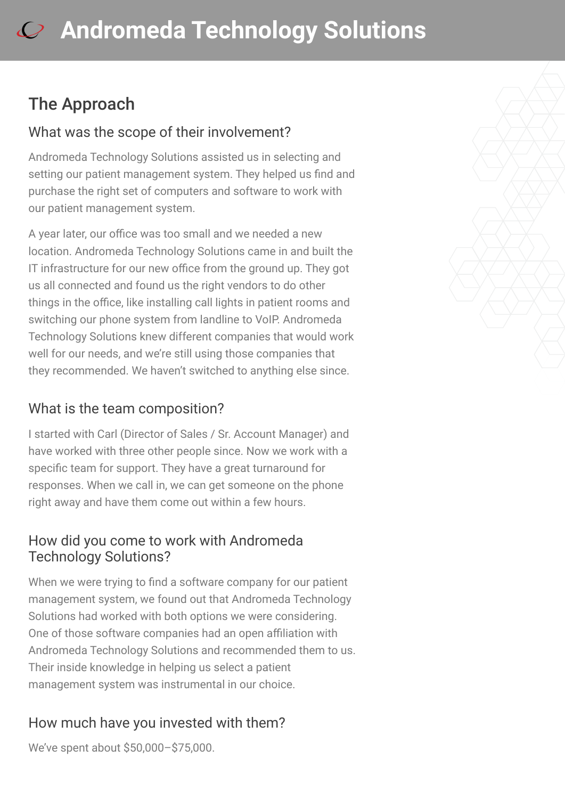## The Approach

#### What was the scope of their involvement?

Andromeda Technology Solutions assisted us in selecting and setting our patient management system. They helped us find and purchase the right set of computers and software to work with our patient management system.

A year later, our office was too small and we needed a new location. Andromeda Technology Solutions came in and built the IT infrastructure for our new office from the ground up. They got us all connected and found us the right vendors to do other things in the office, like installing call lights in patient rooms and switching our phone system from landline to VoIP. Andromeda Technology Solutions knew different companies that would work well for our needs, and we're still using those companies that they recommended. We haven't switched to anything else since.

### What is the team composition?

I started with Carl (Director of Sales / Sr. Account Manager) and have worked with three other people since. Now we work with a specific team for support. They have a great turnaround for responses. When we call in, we can get someone on the phone right away and have them come out within a few hours.

#### How did you come to work with Andromeda Technology Solutions?

When we were trying to find a software company for our patient management system, we found out that Andromeda Technology Solutions had worked with both options we were considering. One of those software companies had an open affiliation with Andromeda Technology Solutions and recommended them to us. Their inside knowledge in helping us select a patient management system was instrumental in our choice.

### How much have you invested with them?

We've spent about \$50,000–\$75,000.